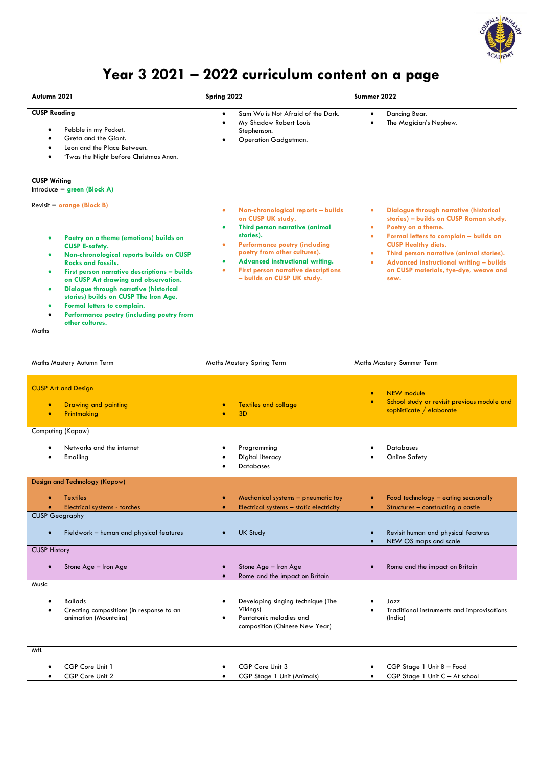

## **Year 3 2021 – 2022 curriculum content on a page**

| Autumn 2021                                                                                                                                                                                                                                                                                                                                                                                                                                                                               | Spring 2022                                                                                                                                                                                                                                                                                             | Summer 2022                                                                                                                                                                                                                                                                                                                                                                                    |
|-------------------------------------------------------------------------------------------------------------------------------------------------------------------------------------------------------------------------------------------------------------------------------------------------------------------------------------------------------------------------------------------------------------------------------------------------------------------------------------------|---------------------------------------------------------------------------------------------------------------------------------------------------------------------------------------------------------------------------------------------------------------------------------------------------------|------------------------------------------------------------------------------------------------------------------------------------------------------------------------------------------------------------------------------------------------------------------------------------------------------------------------------------------------------------------------------------------------|
| <b>CUSP Reading</b><br>Pebble in my Pocket.<br>Greta and the Giant.<br>Leon and the Place Between.<br>'Twas the Night before Christmas Anon.                                                                                                                                                                                                                                                                                                                                              | Sam Wu is Not Afraid of the Dark.<br>$\bullet$<br>My Shadow Robert Louis<br>Stephenson.<br>Operation Gadgetman.                                                                                                                                                                                         | Dancing Bear.<br>$\bullet$<br>The Magician's Nephew.                                                                                                                                                                                                                                                                                                                                           |
| <b>CUSP Writing</b><br>Introduce = $green (Block A)$<br>$Reviewist = orange (Block B)$<br>Poetry on a theme (emotions) builds on<br><b>CUSP E-safety.</b><br>Non-chronological reports builds on CUSP<br><b>Rocks and fossils.</b><br>First person narrative descriptions - builds<br>on CUSP Art drawing and observation.<br>Dialogue through narrative (historical<br>stories) builds on CUSP The Iron Age.<br>Formal letters to complain.<br>Performance poetry (including poetry from | Non-chronological reports - builds<br>٠<br>on CUSP UK study.<br>Third person narrative (animal<br>stories).<br><b>Performance poetry (including</b><br>poetry from other cultures).<br>Advanced instructional writing.<br><b>First person narrative descriptions</b><br>٠<br>- builds on CUSP UK study. | Dialogue through narrative (historical<br>$\bullet$<br>stories) - builds on CUSP Roman study.<br>Poetry on a theme.<br>$\bullet$<br>Formal letters to complain - builds on<br>$\bullet$<br><b>CUSP Healthy diets.</b><br>Third person narrative (animal stories).<br>$\bullet$<br><b>Advanced instructional writing - builds</b><br>$\bullet$<br>on CUSP materials, tye-dye, weave and<br>sew. |
| other cultures.<br>Maths<br>Maths Mastery Autumn Term                                                                                                                                                                                                                                                                                                                                                                                                                                     | Maths Mastery Spring Term                                                                                                                                                                                                                                                                               | Maths Mastery Summer Term                                                                                                                                                                                                                                                                                                                                                                      |
| <b>CUSP Art and Design</b><br><b>Drawing and painting</b>                                                                                                                                                                                                                                                                                                                                                                                                                                 | <b>Textiles and collage</b>                                                                                                                                                                                                                                                                             | <b>NEW</b> module<br>$\bullet$<br>School study or revisit previous module and<br>$\bullet$                                                                                                                                                                                                                                                                                                     |
| Printmaking<br>$\bullet$                                                                                                                                                                                                                                                                                                                                                                                                                                                                  | 3D                                                                                                                                                                                                                                                                                                      | sophisticate / elaborate                                                                                                                                                                                                                                                                                                                                                                       |
| Computing (Kapow)<br>Networks and the internet<br>Emailing                                                                                                                                                                                                                                                                                                                                                                                                                                | Programming<br>Digital literacy<br><b>Databases</b>                                                                                                                                                                                                                                                     | <b>Databases</b><br>Online Safety                                                                                                                                                                                                                                                                                                                                                              |
| Design and Technology (Kapow)<br>Textiles<br>Electrical systems - torches<br>$\bullet$<br><b>CUSP Geography</b><br>Fieldwork - human and physical features                                                                                                                                                                                                                                                                                                                                | Mechanical systems – pneumatic toy<br>Electrical systems - static electricity<br>$\bullet$<br><b>UK Study</b>                                                                                                                                                                                           | Food technology – eating seasonally<br>Structures - constructing a castle<br>$\bullet$<br>Revisit human and physical features                                                                                                                                                                                                                                                                  |
| <b>CUSP History</b>                                                                                                                                                                                                                                                                                                                                                                                                                                                                       |                                                                                                                                                                                                                                                                                                         | NEW OS maps and scale                                                                                                                                                                                                                                                                                                                                                                          |
| Stone Age - Iron Age                                                                                                                                                                                                                                                                                                                                                                                                                                                                      | Stone Age - Iron Age<br>Rome and the impact on Britain                                                                                                                                                                                                                                                  | Rome and the impact on Britain                                                                                                                                                                                                                                                                                                                                                                 |
| Music<br><b>Ballads</b><br>Creating compositions (in response to an<br>animation (Mountains)                                                                                                                                                                                                                                                                                                                                                                                              | Developing singing technique (The<br>Vikings)<br>Pentatonic melodies and<br>composition (Chinese New Year)                                                                                                                                                                                              | Jazz<br>Traditional instruments and improvisations<br>(India)                                                                                                                                                                                                                                                                                                                                  |
| MfL<br>CGP Core Unit 1<br>CGP Core Unit 2                                                                                                                                                                                                                                                                                                                                                                                                                                                 | CGP Core Unit 3<br>CGP Stage 1 Unit (Animals)                                                                                                                                                                                                                                                           | CGP Stage 1 Unit B - Food<br>CGP Stage 1 Unit C - At school                                                                                                                                                                                                                                                                                                                                    |